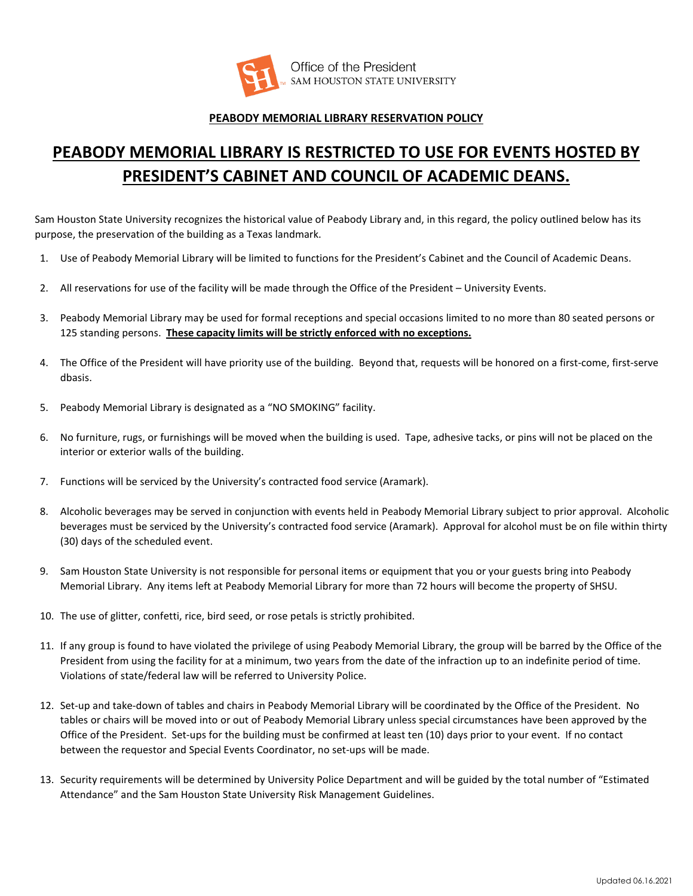

## **PEABODY MEMORIAL LIBRARY RESERVATION POLICY**

## **PEABODY MEMORIAL LIBRARY IS RESTRICTED TO USE FOR EVENTS HOSTED BY PRESIDENT'S CABINET AND COUNCIL OF ACADEMIC DEANS.**

Sam Houston State University recognizes the historical value of Peabody Library and, in this regard, the policy outlined below has its purpose, the preservation of the building as a Texas landmark.

- 1. Use of Peabody Memorial Library will be limited to functions for the President's Cabinet and the Council of Academic Deans.
- 2. All reservations for use of the facility will be made through the Office of the President University Events.
- 3. Peabody Memorial Library may be used for formal receptions and special occasions limited to no more than 80 seated persons or 125 standing persons. **These capacity limits will be strictly enforced with no exceptions.**
- 4. The Office of the President will have priority use of the building. Beyond that, requests will be honored on a first-come, first-serve dbasis.
- 5. Peabody Memorial Library is designated as a "NO SMOKING" facility.
- 6. No furniture, rugs, or furnishings will be moved when the building is used. Tape, adhesive tacks, or pins will not be placed on the interior or exterior walls of the building.
- 7. Functions will be serviced by the University's contracted food service (Aramark).
- 8. Alcoholic beverages may be served in conjunction with events held in Peabody Memorial Library subject to prior approval. Alcoholic beverages must be serviced by the University's contracted food service (Aramark). Approval for alcohol must be on file within thirty (30) days of the scheduled event.
- 9. Sam Houston State University is not responsible for personal items or equipment that you or your guests bring into Peabody Memorial Library. Any items left at Peabody Memorial Library for more than 72 hours will become the property of SHSU.
- 10. The use of glitter, confetti, rice, bird seed, or rose petals is strictly prohibited.
- 11. If any group is found to have violated the privilege of using Peabody Memorial Library, the group will be barred by the Office of the President from using the facility for at a minimum, two years from the date of the infraction up to an indefinite period of time. Violations of state/federal law will be referred to University Police.
- 12. Set-up and take-down of tables and chairs in Peabody Memorial Library will be coordinated by the Office of the President. No tables or chairs will be moved into or out of Peabody Memorial Library unless special circumstances have been approved by the Office of the President. Set-ups for the building must be confirmed at least ten (10) days prior to your event. If no contact between the requestor and Special Events Coordinator, no set-ups will be made.
- 13. Security requirements will be determined by University Police Department and will be guided by the total number of "Estimated Attendance" and the Sam Houston State University Risk Management Guidelines.